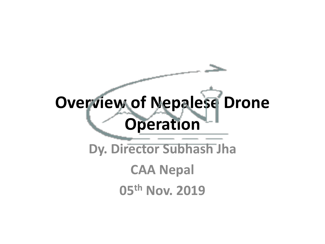# **Overview of Nepalese Drone Operation**

**Dy. Director Subhash Jha**

**CAA Nepal** 

**05th Nov. 2019**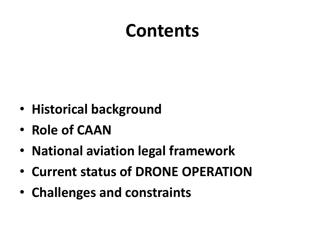### **Contents**

- **Historical background**
- **Role of CAAN**
- **National aviation legal framework**
- **Current status of DRONE OPERATION**
- **Challenges and constraints**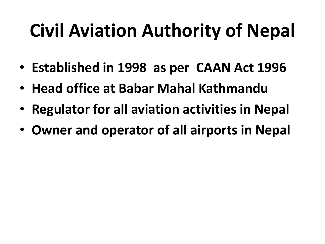# **Civil Aviation Authority of Nepal**

- **Established in 1998 as per CAAN Act 1996**
- **Head office at Babar Mahal Kathmandu**
- **Regulator for all aviation activities in Nepal**
- **Owner and operator of all airports in Nepal**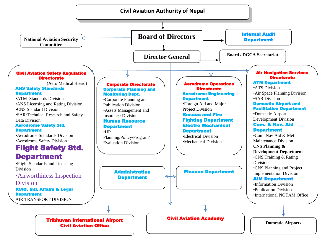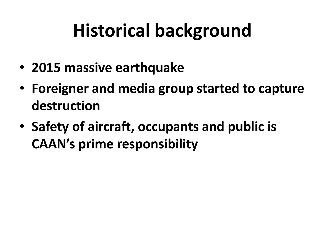# **Historical background**

- **2015 massive earthquake**
- **Foreigner and media group started to capture destruction**
- **Safety of aircraft, occupants and public is CAAN's prime responsibility**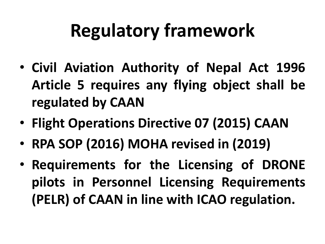## **Regulatory framework**

- **Civil Aviation Authority of Nepal Act 1996 Article 5 requires any flying object shall be regulated by CAAN**
- **Flight Operations Directive 07 (2015) CAAN**
- **RPA SOP (2016) MOHA revised in (2019)**
- **Requirements for the Licensing of DRONE pilots in Personnel Licensing Requirements (PELR) of CAAN in line with ICAO regulation.**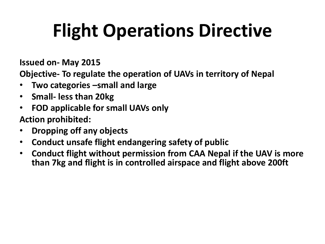# **Flight Operations Directive**

**Issued on- May 2015**

**Objective- To regulate the operation of UAVs in territory of Nepal** 

- **Two categories –small and large**
- **Small- less than 20kg**
- **FOD applicable for small UAVs only**

**Action prohibited:**

- **Dropping off any objects**
- **Conduct unsafe flight endangering safety of public**
- **Conduct flight without permission from CAA Nepal if the UAV is more than 7kg and flight is in controlled airspace and flight above 200ft**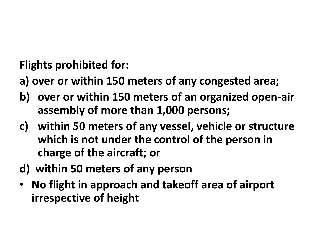**Flights prohibited for:**

- **a) over or within 150 meters of any congested area;**
- **b) over or within 150 meters of an organized open-air assembly of more than 1,000 persons;**
- **c) within 50 meters of any vessel, vehicle or structure which is not under the control of the person in charge of the aircraft; or**
- **d) within 50 meters of any person**
- **No flight in approach and takeoff area of airport irrespective of height**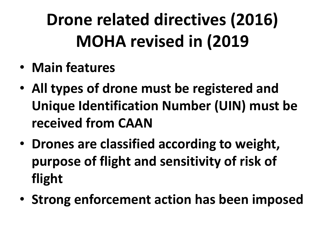## **Drone related directives (2016) MOHA revised in (2019**

- **Main features**
- **All types of drone must be registered and Unique Identification Number (UIN) must be received from CAAN**
- **Drones are classified according to weight, purpose of flight and sensitivity of risk of flight**
- **Strong enforcement action has been imposed**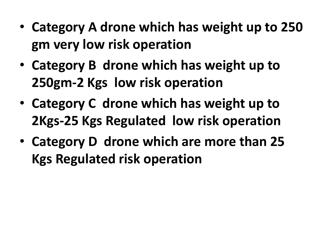- **Category A drone which has weight up to 250 gm very low risk operation**
- **Category B drone which has weight up to 250gm-2 Kgs low risk operation**
- **Category C drone which has weight up to 2Kgs-25 Kgs Regulated low risk operation**
- **Category D drone which are more than 25 Kgs Regulated risk operation**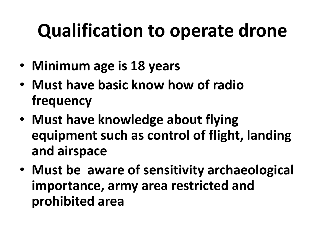## **Qualification to operate drone**

- **Minimum age is 18 years**
- **Must have basic know how of radio frequency**
- **Must have knowledge about flying equipment such as control of flight, landing and airspace**
- **Must be aware of sensitivity archaeological importance, army area restricted and prohibited area**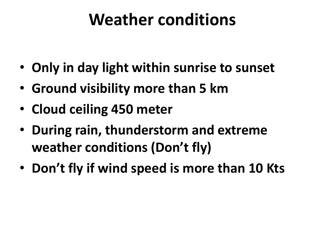#### **Weather conditions**

- **Only in day light within sunrise to sunset**
- **Ground visibility more than 5 km**
- **Cloud ceiling 450 meter**
- **During rain, thunderstorm and extreme weather conditions (Don't fly)**
- **Don't fly if wind speed is more than 10 Kts**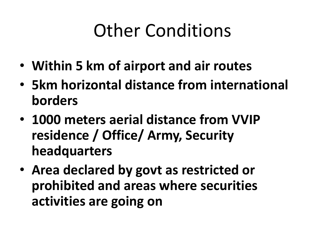## Other Conditions

- **Within 5 km of airport and air routes**
- **5km horizontal distance from international borders**
- **1000 meters aerial distance from VVIP residence / Office/ Army, Security headquarters**
- **Area declared by govt as restricted or prohibited and areas where securities activities are going on**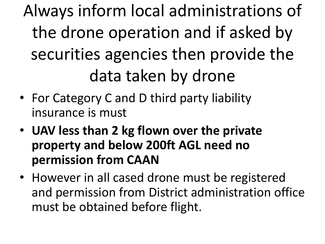Always inform local administrations of the drone operation and if asked by securities agencies then provide the data taken by drone

- For Category C and D third party liability insurance is must
- **UAV less than 2 kg flown over the private property and below 200ft AGL need no permission from CAAN**
- However in all cased drone must be registered and permission from District administration office must be obtained before flight.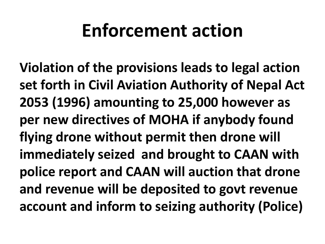### **Enforcement action**

**Violation of the provisions leads to legal action set forth in Civil Aviation Authority of Nepal Act 2053 (1996) amounting to 25,000 however as per new directives of MOHA if anybody found flying drone without permit then drone will immediately seized and brought to CAAN with police report and CAAN will auction that drone and revenue will be deposited to govt revenue account and inform to seizing authority (Police)**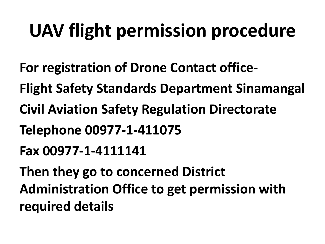# **UAV flight permission procedure**

- **For registration of Drone Contact office-**
- **Flight Safety Standards Department Sinamangal**
- **Civil Aviation Safety Regulation Directorate**
- **Telephone 00977-1-411075**
- **Fax 00977-1-4111141**
- **Then they go to concerned District Administration Office to get permission with required details**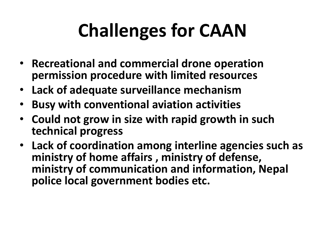# **Challenges for CAAN**

- **Recreational and commercial drone operation permission procedure with limited resources**
- **Lack of adequate surveillance mechanism**
- **Busy with conventional aviation activities**
- **Could not grow in size with rapid growth in such technical progress**
- **Lack of coordination among interline agencies such as ministry of home affairs , ministry of defense, ministry of communication and information, Nepal police local government bodies etc.**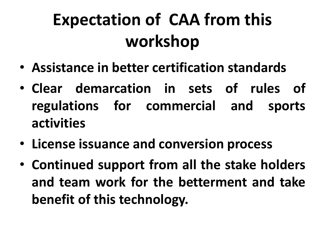### **Expectation of CAA from this workshop**

- **Assistance in better certification standards**
- **Clear demarcation in sets of rules of regulations for commercial and sports activities**
- **License issuance and conversion process**
- **Continued support from all the stake holders and team work for the betterment and take benefit of this technology.**